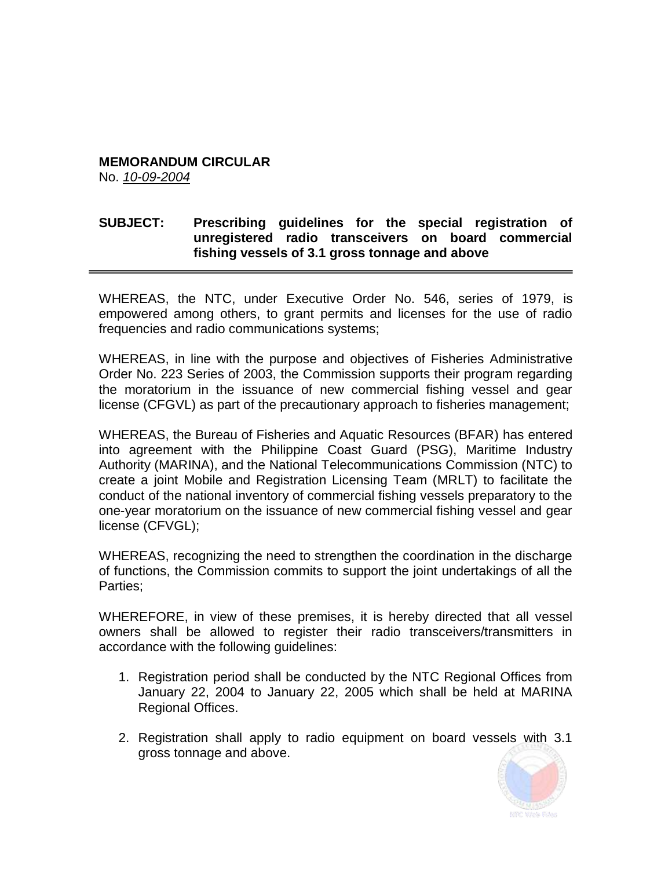## **MEMORANDUM CIRCULAR**

No. *10-09-2004*

## **SUBJECT: Prescribing guidelines for the special registration of unregistered radio transceivers on board commercial fishing vessels of 3.1 gross tonnage and above**

WHEREAS, the NTC, under Executive Order No. 546, series of 1979, is empowered among others, to grant permits and licenses for the use of radio frequencies and radio communications systems;

WHEREAS, in line with the purpose and objectives of Fisheries Administrative Order No. 223 Series of 2003, the Commission supports their program regarding the moratorium in the issuance of new commercial fishing vessel and gear license (CFGVL) as part of the precautionary approach to fisheries management;

WHEREAS, the Bureau of Fisheries and Aquatic Resources (BFAR) has entered into agreement with the Philippine Coast Guard (PSG), Maritime Industry Authority (MARINA), and the National Telecommunications Commission (NTC) to create a joint Mobile and Registration Licensing Team (MRLT) to facilitate the conduct of the national inventory of commercial fishing vessels preparatory to the one-year moratorium on the issuance of new commercial fishing vessel and gear license (CFVGL);

WHEREAS, recognizing the need to strengthen the coordination in the discharge of functions, the Commission commits to support the joint undertakings of all the Parties;

WHEREFORE, in view of these premises, it is hereby directed that all vessel owners shall be allowed to register their radio transceivers/transmitters in accordance with the following guidelines:

- 1. Registration period shall be conducted by the NTC Regional Offices from January 22, 2004 to January 22, 2005 which shall be held at MARINA Regional Offices.
- 2. Registration shall apply to radio equipment on board vessels with 3.1 gross tonnage and above.